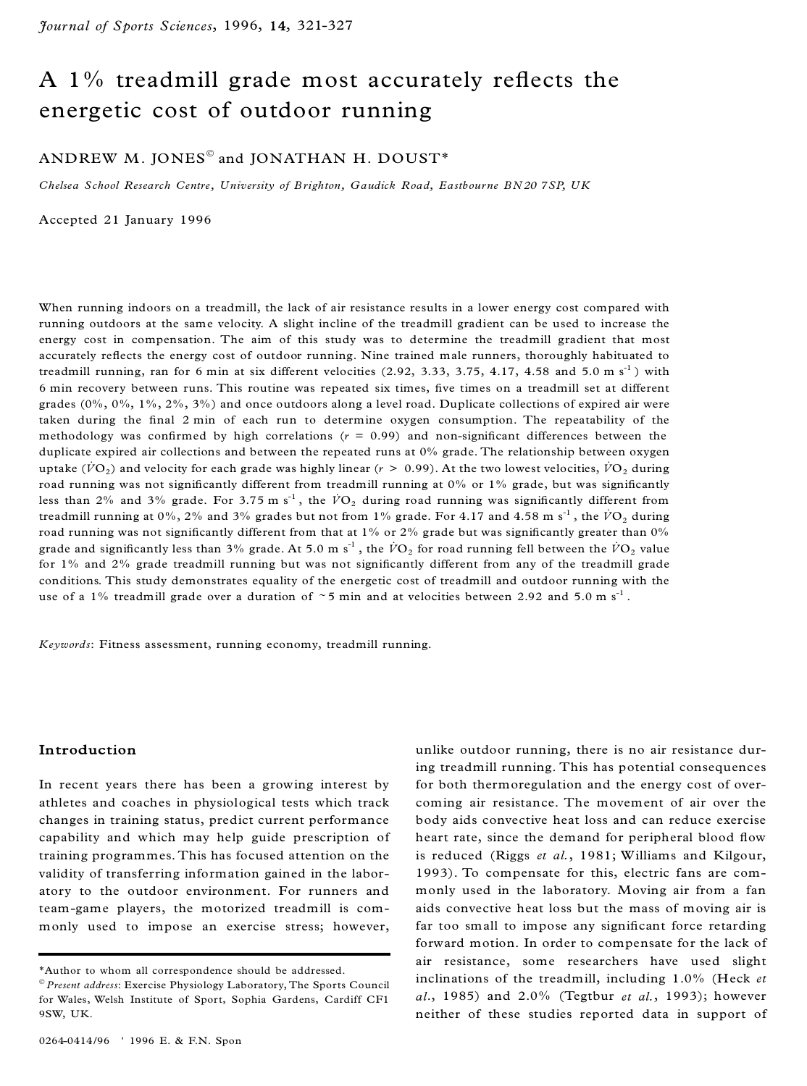# A  $1\%$  treadmill grade most accurately reflects the energetic cost of outdoor running

## ANDREW M. JONES $^\circ$  and JONATHAN H. DOUST\*

*Chelsea School Research Centre, University of B righton, Gaudick Road, Eastbourne B N20 7SP, UK*

Accepted 21 January 1996

When running indoors on a treadmill, the lack of air resistance results in a lower energy cost compared with running outdoors at the same velocity. A slight incline of the treadmill gradient can be used to increase the energy cost in compensation. The aim of this study was to determine the treadmill gradient that most accurately reflects the energy cost of outdoor running. Nine trained male runners, thoroughly habituated to treadmill running, ran for 6 min at six different velocities  $(2.92, 3.33, 3.75, 4.17, 4.58$  and  $5.0 \text{ m s}^{-1})$  with 6 min recovery between runs. This routine was repeated six times, five times on a treadmill set at different grades  $(0\%, 0\%, 1\%, 2\%, 3\%)$  and once outdoors along a level road. Duplicate collections of expired air were taken during the final 2 min of each run to determine oxygen consumption. The repeatability of the methodology was confirmed by high correlations  $(r = 0.99)$  and non-significant differences between the duplicate expired air collections and between the repeated runs at 0% grade. The relationship between oxygen uptake ( $\dot{V}O_2$ ) and velocity for each grade was highly linear ( $r > 0.99$ ). At the two lowest velocities,  $\dot{V}O_2$  during road running was not significantly different from treadmill running at  $0\%$  or  $1\%$  grade, but was significantly less than 2% and 3% grade. For 3.75 m s<sup>-1</sup>, the  $\dot{V}O_2$  during road running was significantly different from treadmill running at  $0\%$ ,  $2\%$  and  $3\%$  grades but not from  $1\%$  grade. For  $4.17$  and  $4.58$  m s<sup>-1</sup>, the  $\dot{V}\mathrm{O}_2$  during road running was not significantly different from that at 1% or 2% grade but was significantly greater than 0% grade and significantly less than 3% grade. At 5.0 m s<sup>-1</sup> , the  $\dot{V}\rm{O}_2$  for road running fell between the  $\dot{V}\rm{O}_2$  value for  $1\%$  and  $2\%$  grade treadmill running but was not significantly different from any of the treadmill grade conditions. This study demonstrates equality of the energetic cost of treadmill and outdoor running with the use of a 1% treadmill grade over a duration of  $\sim$  5 min and at velocities between 2.92 and 5.0 m s<sup>-1</sup>.

*Keywords*: Fitness assessment, running economy, treadmill running.

## **Introduction**

In recent years there has been a growing interest by athletes and coaches in physiological tests which track changes in training status, predict current performance capability and which may help guide prescription of training programmes. This has focused attention on the validity of transferring information gained in the labor atory to the outdoor environment. For runners and team-game players, the motorized treadmill is com monly used to impose an exercise stress; however,

unlike outdoor running, there is no air resistance during treadmill running. This has potential consequences for both thermoregulation and the energy cost of over coming air resistance. The movement of air over the body aids convective heat loss and can reduce exercise heart rate, since the demand for peripheral blood flow is reduced (Riggs *et al.*, 1981; Williams and Kilgour, 1993). To compensate for this, electric fans are com monly used in the laboratory. Moving air from a fan aids convective heat loss but the mass of moving air is far too small to impose any significant force retarding forward motion. In order to compensate for the lack of air resistance, some researchers have used slight inclinations of the treadmill, including 1.0% (Heck *et al*., 1985) and 2.0% (Tegtbur *et al.*, 1993); however neither of these studies reported data in support of

<sup>\*</sup>Author to whom all correspondence should be addressed.

<sup>Ó</sup> *Present address*: Exercise Physiology Laboratory, The Sports Council for Wales, Welsh Institute of Sport, Sophia Gardens, Cardiff CF1 9SW, UK.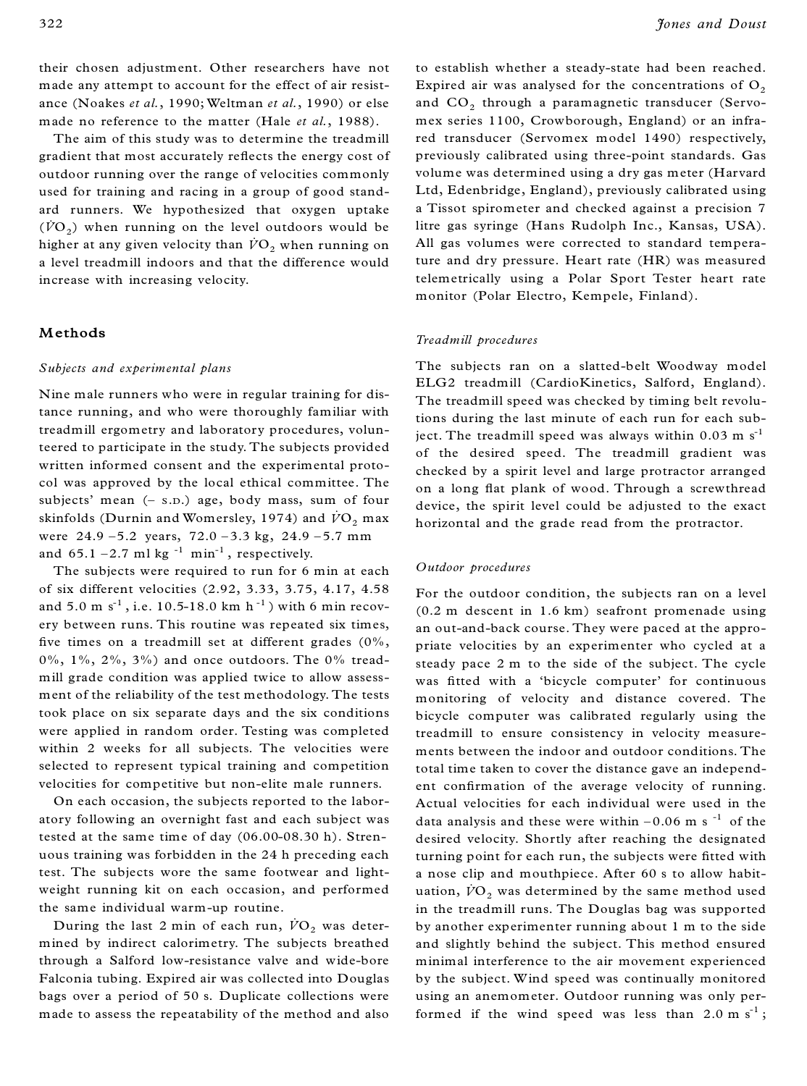their chosen adjustment. Other researchers have not made any attempt to account for the effect of air resist ance (Noakes *et al.*, 1990; Weltman *et al.*, 1990) or else made no reference to the matter (Hale *et al.*, 1988).

The aim of this study was to determine the treadmill gradient that most accurately reflects the energy cost of outdoor running over the range of velocities commonly used for training and racing in a group of good stand ard runners. We hypothesized that oxygen uptake  $(\dot{V}\Omega_2)$  when running on the level outdoors would be higher at any given velocity than  $\dot{V}O_2$  when running on a level treadmill indoors and that the difference would increase with increasing velocity.

## **Methods**

### *Subjects and experimental plans*

Nine male runners who were in regular training for distance running, and who were thoroughly familiar with treadmill ergometry and laboratory procedures, volunteered to participate in the study. The subjects provided written informed consent and the experimental proto col was approved by the local ethical committee. The subjects' mean (- s.p.) age, body mass, sum of four skinfolds (Durnin and Womersley, 1974) and  $\dot{V}\text{O}_2$  max were  $24.9 - 5.2$  years,  $72.0 - 3.3$  kg,  $24.9 - 5.7$  mm and  $65.1 - 2.7$  ml kg  $^{-1}$  min $^{-1}$ , respectively.

The subjects were required to run for 6 min at each of six different velocities (2.92, 3.33, 3.75, 4.17, 4.58 and 5.0 m  $s^{-1}$  , i.e. 10.5-18.0 km  $h^{-1}$  ) with 6 min recovery between runs. This routine was repeated six times, five times on a treadmill set at different grades  $(0\%$ , 0%, 1%, 2%, 3%) and once outdoors. The 0% tread mill grade condition was applied twice to allow assess ment of the reliability of the test methodology. The tests took place on six separate days and the six conditions were applied in random order. Testing was completed within 2 weeks for all subjects. The velocities were selected to represent typical training and competition velocities for competitive but non-elite male runners.

On each occasion, the subjects reported to the labor atory following an overnight fast and each subject was tested at the same time of day (06.00-08.30 h). Stren uous training was forbidden in the 24 h preceding each test. The subjects wore the same footwear and light weight running kit on each occasion, and performed the same individual warm-up routine.

During the last 2 min of each run,  $\dot{V}\text{O}_2$  was determined by indirect calorimetry. The subjects breathed through a Salford low-resistance valve and wide-bore Falconia tubing. Expired air was collected into Douglas bags over a period of 50 s. Duplicate collections were made to assess the repeatability of the method and also to establish whether a steady-state had been reached. Expired air was analysed for the concentrations of  $O<sub>2</sub>$ and  $\mathrm{CO}_2$  through a paramagnetic transducer (Servomex series 1100, Crowborough, England) or an infrared transducer (Servomex model 1490) respectively, previously calibrated using three-point standards. Gas volume was determined using a dry gas meter (Harvard Ltd, Edenbridge, England), previously calibrated using a Tissot spirometer and checked against a precision 7 litre gas syringe (Hans Rudolph Inc., Kansas, USA). All gas volumes were corrected to standard temperature and dry pressure. Heart rate (HR) was measured telemetrically using a Polar Sport Tester heart rate monitor (Polar Electro, Kempele, Finland).

#### *Treadmill procedures*

The subjects ran on a slatted-belt Woodway model ELG2 treadmill (CardioKinetics, Salford, England). The treadmill speed was checked by timing belt revolutions during the last minute of each run for each subject. The treadmill speed was always within  $0.03 \text{ m s}^{-1}$ of the desired speed. The treadmill gradient was checked by a spirit level and large protractor arranged on a long flat plank of wood. Through a screwthread device, the spirit level could be adjusted to the exact horizontal and the grade read from the protractor.

#### *Outdoor procedures*

For the outdoor condition, the subjects ran on a level (0.2 m descent in 1.6 km) seafront promenade using an out-and-back course. They were paced at the appro priate velocities by an experimenter who cycled at a steady pace 2 m to the side of the subject. The cycle was fitted with a 'bicycle computer' for continuous monitoring of velocity and distance covered. The bicycle computer was calibrated regularly using the treadmill to ensure consistency in velocity measure ments between the indoor and outdoor conditions. The total time taken to cover the distance gave an independ ent confirmation of the average velocity of running. Actual velocities for each individual were used in the data analysis and these were within  $-0.06$  m s<sup> $-1$ </sup> of the desired velocity. Shortly after reaching the designated turning point for each run, the subjects were fitted with a nose clip and mouthpiece. After 60 s to allow habit uation,  $\dot{V}O_2$  was determined by the same method used in the treadmill runs. The Douglas bag was supported by another experimenter running about 1 m to the side and slightly behind the subject. This method ensured minimal interference to the air movement experienced by the subject. Wind speed was continually monitored using an anemometer. Outdoor running was only performed if the wind speed was less than  $2.0 \text{ m s}^{-1}$ ;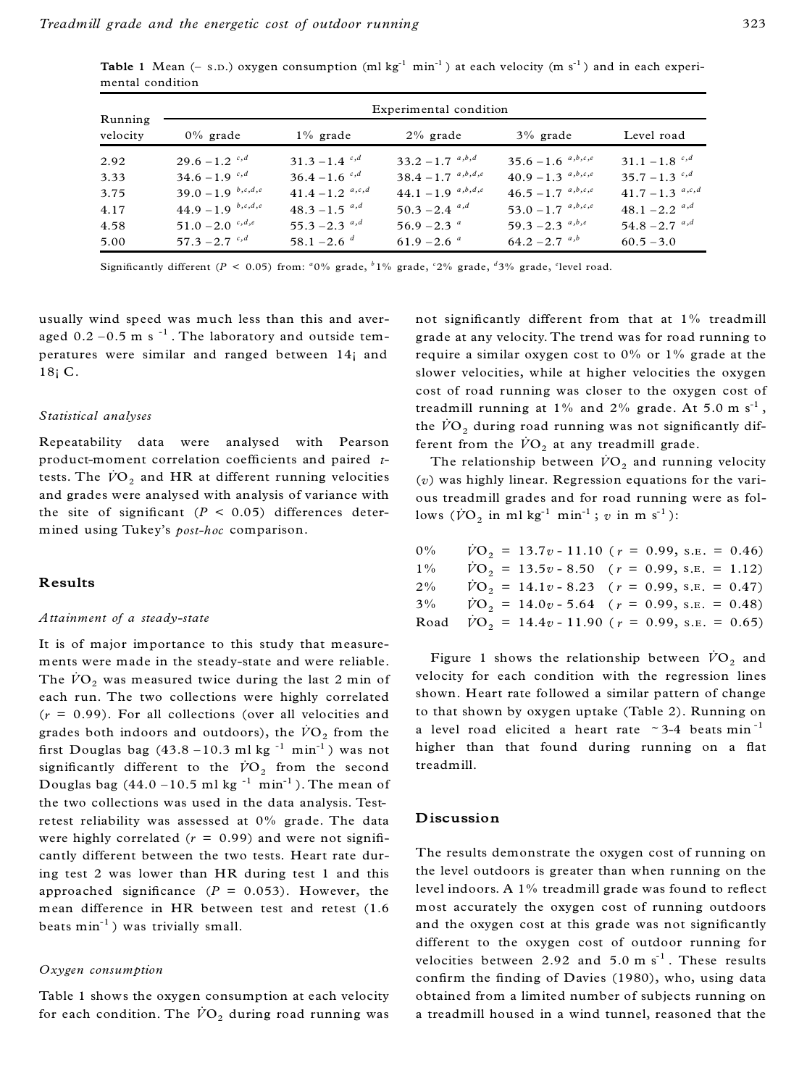**Table** 1 Mean  $(-s.n.)$  oxygen consumption  $(ml kg^{-1} min^{-1})$  at each velocity  $(m s^{-1})$  and in each experimental condition

| Running<br>velocity | Experimental condition    |                             |                             |                        |                             |  |  |
|---------------------|---------------------------|-----------------------------|-----------------------------|------------------------|-----------------------------|--|--|
|                     | $0\%$ grade               | $1\%$ grade                 | $2\%$ grade                 | $3\%$ grade            | Level road                  |  |  |
| 2.92                | $29.6 - 1.2$ $c,d$        | $31.3 - 1.4$ <sup>c,d</sup> | $33.2 - 1.7^{a,b,d}$        | $35.6 - 1.6^{a,b,c,e}$ | $31.1 - 1.8$ <sup>c,d</sup> |  |  |
| 3.33                | $34.6 - 1.9$ $^{c,d}$     | $36.4 - 1.6$ $^{c,d}$       | $38.4 - 1.7^{a,b,d,e}$      | $40.9 - 1.3^{a,b,c,e}$ | $35.7 - 1.3$ c,d            |  |  |
| 3.75                | $39.0 - 1.9$ $^{b,c,d,e}$ | 41.4 – 1.2 $a,c,d$          | $44.1 - 1.9^{a,b,d,e}$      | $46.5 - 1.7^{a,b,c,e}$ | 41.7 – 1.3 $a,c,d$          |  |  |
| 4.17                | $44.9 - 1.9$ $^{b,c,d,e}$ | $48.3 - 1.5^{a,d}$          | $50.3 - 2.4$ <sup>a,d</sup> | $53.0 - 1.7^{a,b,c,e}$ | $48.1 - 2.2$ <sup>a,d</sup> |  |  |
| 4.58                | $51.0 - 2.0$ $c, d, e$    | $55.3 - 2.3$ <sup>a,d</sup> | $56.9 - 2.3$ $a$            | 59.3 – 2.3 $a,b,e$     | $54.8 - 2.7$ <sup>a,d</sup> |  |  |
| 5.00                | $57.3 - 2.7$ $c,d$        | $58.1 - 2.6^{d}$            | $61.9 - 2.6$ <sup>a</sup>   | $64.2 - 2.7^{a,b}$     | $60.5 - 3.0$                |  |  |

Significantly different ( $P < 0.05$ ) from: <sup>*a*</sup>0% grade, <sup>*b*</sup>1% grade, <sup>*c*</sup>2% grade, <sup>*d*3% grade, <sup>*e*</sup>level road.</sup>

usually wind speed was much less than this and aver aged  $0.2$  – $0.5$  m s  $^{-1}$  . The laboratory and outside temperatures were similar and ranged between 14¡ and 18¡ C.

#### *Statistical analyses*

Repeatability data were analysed with Pearson product-moment correlation coefficients and paired *t*tests. The  $\dot{V}O_2$  and HR at different running velocities and grades were analysed with analysis of variance with the site of significant ( $P < 0.05$ ) differences determined using Tukey's *post-hoc* comparison.

## **Results**

#### *Attainment of a steady-state*

It is of major importance to this study that measure ments were made in the steady-state and were reliable. The  $\dot{V}O_2$  was measured twice during the last 2 min of each run. The two collections were highly correlated (*r* = 0.99). For all collections (over all velocities and grades both indoors and outdoors), the  $\dot{V}\text{O}_2$  from the first Douglas bag  $(43.8 - 10.3 \text{ ml kg}^{-1} \text{ min}^{-1})$  was not  ${\rm significantly}$  different to the  $\dot{V}{O}_2$  from the second Douglas bag  $(44.0 - 10.5 \text{ ml kg}^{-1} \text{ min}^{-1})$ . The mean of the two collections was used in the data analysis. Testretest reliability was assessed at 0% grade. The data were highly correlated  $(r = 0.99)$  and were not significantly different between the two tests. Heart rate during test 2 was lower than HR during test 1 and this approached significance  $(P = 0.053)$ . However, the mean difference in HR between test and retest (1.6 beats  $min^{-1}$ ) was trivially small.

#### *Oxygen consumption*

Table 1 shows the oxygen consumption at each velocity for each condition. The  $\dot{V}O_2$  during road running was not significantly different from that at 1% treadmill grade at any velocity. The trend was for road running to require a similar oxygen cost to 0% or 1% grade at the slower velocities, while at higher velocities the oxygen cost of road running was closer to the oxygen cost of treadmill running at  $1\%$  and  $2\%$  grade. At  $5.0 \text{ m s}^{-1}$ , the  $\dot{V}O_2$  during road running was not significantly different from the  $\dot{V}O_2$  at any treadmill grade.

The relationship between  $\dot{V}\text{O}_2$  and running velocity (*v*) was highly linear. Regression equations for the vari ous treadmill grades and for road running were as follows  $(\dot{V}\text{O}_2 \text{ in m1 kg}^{-1} \text{ min}^{-1}; v \text{ in m s}^{-1})$ :

| $0\%$ | $\dot{V}O_2 = 13.7v - 11.10$ ( $r = 0.99$ , s.e. = 0.46)       |
|-------|----------------------------------------------------------------|
| $1\%$ | $\dot{V}O_2 = 13.5v - 8.50$ ( $r = 0.99$ , s.e. = 1.12)        |
| $2\%$ | $\dot{V}O_2 = 14.1v - 8.23$ ( $r = 0.99$ , s.e. = 0.47)        |
| $3\%$ | $\dot{V}\text{O}_2 = 14.0v - 5.64$ ( $r = 0.99$ , s.e. = 0.48) |
| Road  | $\dot{V}O_2 = 14.4v - 11.90$ ( $r = 0.99$ , s.e. = 0.65)       |

Figure 1 shows the relationship between  $\dot{V}O_2$  and velocity for each condition with the regression lines shown. Heart rate followed a similar pattern of change to that shown by oxygen uptake (Table 2). Running on a level road elicited a heart rate  $\sim$  3-4 beats min<sup>-1</sup> higher than that found during running on a flat treadmill.

## **Discussion**

The results demonstrate the oxygen cost of running on the level outdoors is greater than when running on the level indoors. A  $1\%$  treadmill grade was found to reflect most accurately the oxygen cost of running outdoors and the oxygen cost at this grade was not significantly different to the oxygen cost of outdoor running for velocities between 2.92 and  $5.0 \text{ m s}^{-1}$ . These results confirm the finding of Davies (1980), who, using data obtained from a limited number of subjects running on a treadmill housed in a wind tunnel, reasoned that the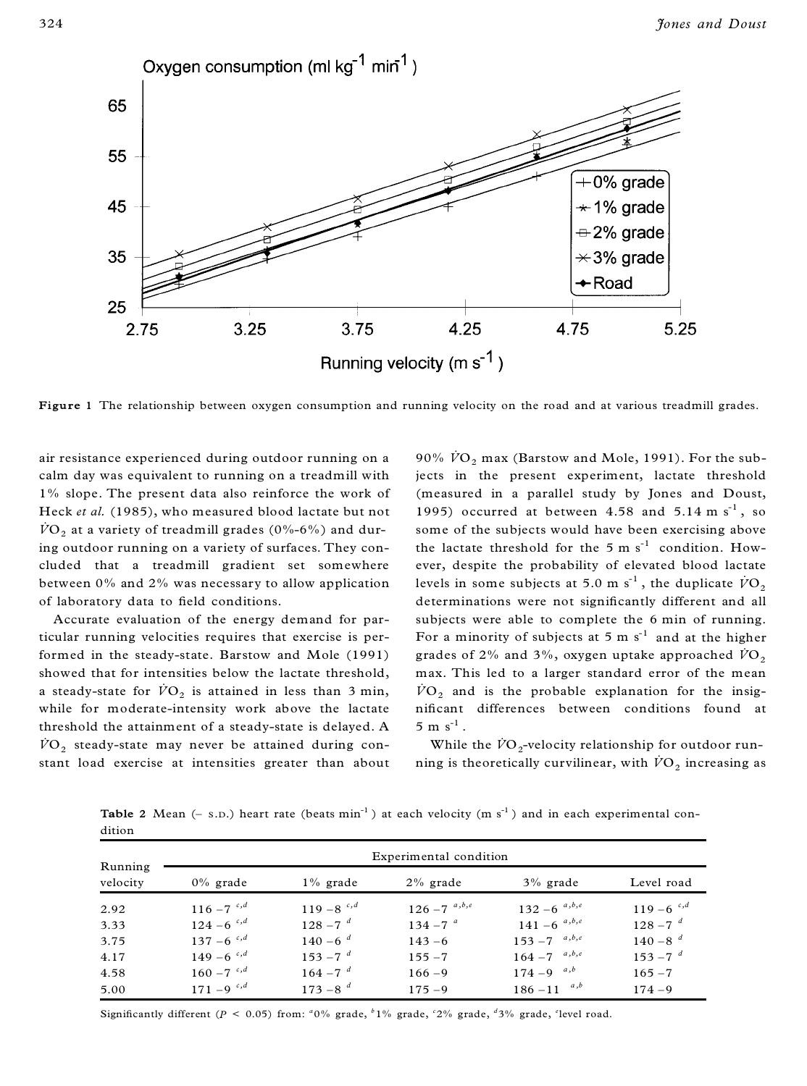

**Figure 1** The relationship between oxygen consumption and running velocity on the road and at various treadmill grades.

air resistance experienced during outdoor running on a calm day was equivalent to running on a treadmill with 1% slope. The present data also reinforce the work of Heck *et al.* (1985), who measured blood lactate but not  $\dot{V}O_2$  at a variety of treadmill grades (0%-6%) and during outdoor running on a variety of surfaces. They con cluded that a treadmill gradient set somewhere between 0% and 2% was necessary to allow application of laboratory data to field conditions.

Accurate evaluation of the energy demand for particular running velocities requires that exercise is performed in the steady-state. Barstow and Mole (1991) showed that for intensities below the lactate threshold, a steady-state for  $\dot{V}\text{O}_2$  is attained in less than 3 min, while for moderate-intensity work above the lactate threshold the attainment of a steady-state is delayed. A  $\dot{V}O_2$  steady-state may never be attained during constant load exercise at intensities greater than about

90%  $\dot{V}O_2$  max (Barstow and Mole, 1991). For the subjects in the present experiment, lactate threshold (measured in a parallel study by Jones and Doust, 1995) occurred at between 4.58 and  $5.14 \text{ m s}^{-1}$ , so some of the subjects would have been exercising above the lactate threshold for the  $5 \text{ m s}^{-1}$  condition. However, despite the probability of elevated blood lactate levels in some subjects at 5.0 m  $s^{-1}$ , the duplicate  $\dot{V}\text{O}_2$ determinations were not significantly different and all subjects were able to complete the 6 min of running. For a minority of subjects at  $5 \text{ m s}^{-1}$  and at the higher grades of 2% and 3%, oxygen uptake approached  $\dot{V}O_2$ max. This led to a larger standard error of the mean  $\dot{V}O_2$  and is the probable explanation for the insignificant differences between conditions found at  $5 \text{ m s}^{-1}$ .

While the  $\dot{V}{\rm O}_{2}$ -velocity relationship for outdoor running is theoretically curvilinear, with  $\dot{V}\text{O}_2$  increasing as

**Table** 2 Mean  $(-s, p)$  heart rate (beats  $min^{-1}$ ) at each velocity  $(m s^{-1})$  and in each experimental condition

|                     | Experimental condition   |                          |                   |                     |                          |  |  |
|---------------------|--------------------------|--------------------------|-------------------|---------------------|--------------------------|--|--|
| Running<br>velocity | $0\%$ grade              | $1\%$ grade              | $2\%$ grade       | $3\%$ grade         | Level road               |  |  |
| 2.92                | $116 - 7$ <sup>c,d</sup> | $119 - 8$ <sup>c,d</sup> | $126 - 7^{a,b,e}$ | $132 - 6^{a, b, e}$ | $119 - 6$ <sup>c,d</sup> |  |  |
| 3.33                | $124 - 6$ <sup>c,d</sup> | $128 - 7^{d}$            | $134 - 7^{a}$     | $141 - 6^{a, b, e}$ | $128 - 7^{d}$            |  |  |
| 3.75                | $137 - 6$ <sup>c,d</sup> | $140 - 6^{d}$            | $143 - 6$         | $153 - 7^{a, b, e}$ | $140 - 8^{d}$            |  |  |
| 4.17                | $149 - 6$ <sup>c,d</sup> | $153 - 7^{d}$            | $155 - 7$         | $164 - 7$ $a, b, e$ | $153 - 7^{d}$            |  |  |
| 4.58                | $160 - 7$ <sup>c,d</sup> | $164 - 7^{d}$            | $166 - 9$         | $174 - 9^{a,b}$     | $165 - 7$                |  |  |
| 5.00                | $171 - 9$ <sup>c,d</sup> | $173 - 8^{d}$            | $175 - 9$         | a,b<br>$186 - 11$   | $174 - 9$                |  |  |

Significantly different ( $P < 0.05$ ) from:  $\frac{a_0}{b_0}$  grade,  $\frac{b_0}{c_0}$  grade,  $\frac{a_0}{c_0}$  grade,  $\frac{d_0}{c_0}$  grade,  $\frac{c_0}{c_0}$  erade.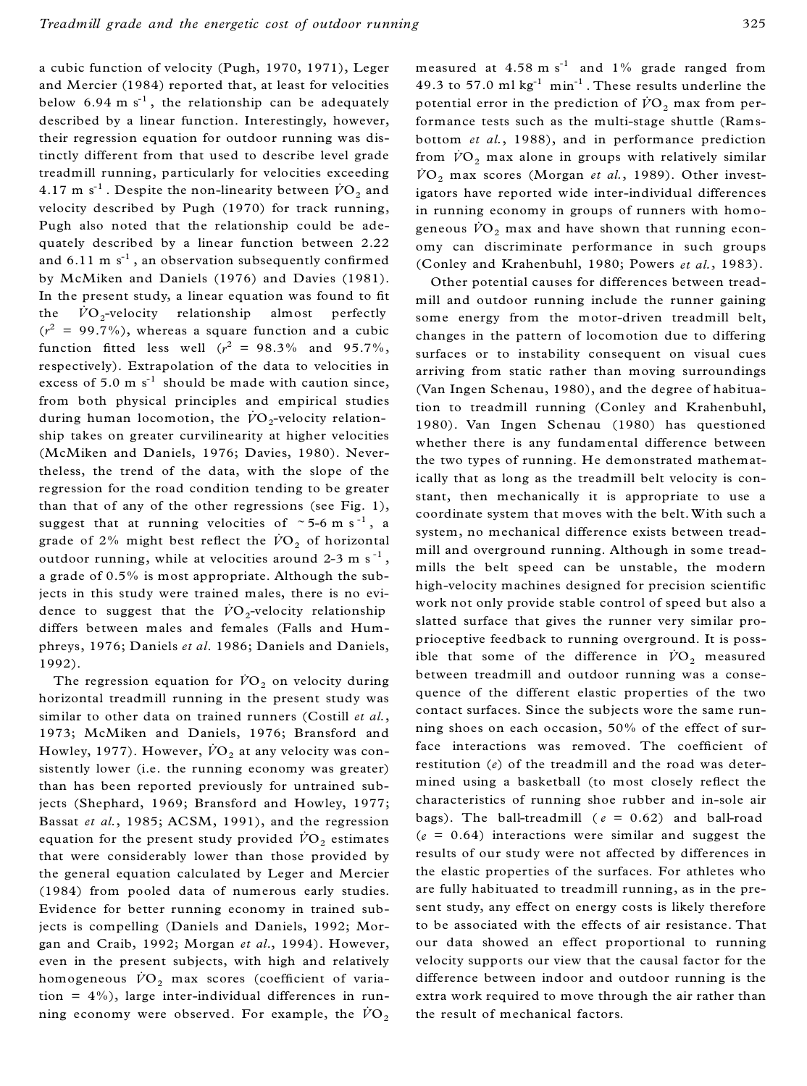a cubic function of velocity (Pugh, 1970, 1971), Leger and Mercier (1984) reported that, at least for velocities below  $6.94 \text{ m s}^{-1}$ , the relationship can be adequately described by a linear function. Interestingly, however, their regression equation for outdoor running was distinctly different from that used to describe level grade treadmill running, particularly for velocities exceeding  $4.17 \text{ m s}^{-1}$  . Despite the non-linearity between  $\dot{V}\text{O}_2$  and velocity described by Pugh (1970) for track running, Pugh also noted that the relationship could be ade quately described by a linear function between 2.22 and 6.11  $\mathrm{m\ s^{\text{-}1}}$  , an observation subsequently confirmed by McMiken and Daniels (1976) and Davies (1981). In the present study, a linear equation was found to fit the  $\dot{V}O_2$ -velocity relationship almost perfectly  $(r^2 = 99.7\%)$ , whereas a square function and a cubic function fitted less well  $(r^2 = 98.3\%$  and 95.7%, respectively). Extrapolation of the data to velocities in excess of 5.0 m  $s^{-1}$  should be made with caution since, from both physical principles and empirical studies during human locomotion, the  $\dot{V}O_2$ -velocity relationship takes on greater curvilinearity at higher velocities (McMiken and Daniels, 1976; Davies, 1980). Nevertheless, the trend of the data, with the slope of the regression for the road condition tending to be greater than that of any of the other regressions (see Fig. 1), suggest that at running velocities of  $\sim$  5-6 m s<sup>-1</sup>, a grade of  $2\%$  might best reflect the  $\dot{V}\text{O}_2$  of horizontal outdoor running, while at velocities around 2-3 m  $\mathrm{s}^{-1}$  , a grade of 0.5% is most appropriate. Although the subjects in this study were trained males, there is no evi dence to suggest that the  $\dot{V}{O}_2$ -velocity relationship differs between males and females (Falls and Hum phreys, 1976; Daniels *et al*. 1986; Daniels and Daniels, 1992).

The regression equation for  $\dot{V}O_2$  on velocity during horizontal treadmill running in the present study was similar to other data on trained runners (Costill *et al.*, 1973; McMiken and Daniels, 1976; Bransford and Howley, 1977). However,  $\dot{V}O_2$  at any velocity was consistently lower (i.e. the running economy was greater) than has been reported previously for untrained subjects (Shephard, 1969; Bransford and Howley, 1977; Bassat *et al.*, 1985; ACSM, 1991), and the regression equation for the present study provided  $\dot{V}O_2$  estimates that were considerably lower than those provided by the general equation calculated by Leger and Mercier (1984) from pooled data of numerous early studies. Evidence for better running economy in trained subjects is compelling (Daniels and Daniels, 1992; Mor gan and Craib, 1992; Morgan *et al*., 1994). However, even in the present subjects, with high and relatively homogeneous  $\dot{V}\text{O}_2$  max scores (coefficient of variation =  $4\%$ ), large inter-individual differences in running economy were observed. For example, the  $\dot{V}O<sub>2</sub>$ 

measured at  $4.58 \text{ m s}^{-1}$  and  $1\%$  grade ranged from 49.3 to 57.0  $ml kg^{-1} min^{-1}$ . These results underline the potential error in the prediction of  $\dot{V}O_2$  max from performance tests such as the multi-stage shuttle (Rams bottom *et al.*, 1988), and in performance prediction from  $\overline{VO}_2$  max alone in groups with relatively similar  $\overline{VO}_2$  max scores (Morgan *et al.*, 1989). Other investigators have reported wide inter-individual differences in running economy in groups of runners with homo geneous  $\dot{V}O_2$  max and have shown that running economy can discriminate performance in such groups (Conley and Krahenbuhl, 1980; Powers *et al.*, 1983).

Other potential causes for differences between tread mill and outdoor running include the runner gaining some energy from the motor-driven treadmill belt, changes in the pattern of locomotion due to differing surfaces or to instability consequent on visual cues arriving from static rather than moving surroundings (Van Ingen Schenau, 1980), and the degree of habituation to treadmill running (Conley and Krahenbuhl, 1980). Van Ingen Schenau (1980) has questioned whether there is any fundamental difference between the two types of running. He demonstrated mathematically that as long as the treadmill belt velocity is constant, then mechanically it is appropriate to use a coordinate system that moves with the belt. With such a system, no mechanical difference exists between tread mill and overground running. Although in some tread mills the belt speed can be unstable, the modern high-velocity machines designed for precision scientific work not only provide stable control of speed but also a slatted surface that gives the runner very similar pro prioceptive feedback to running overground. It is possible that some of the difference in  $\dot{V}\text{O}_2$  measured between treadmill and outdoor running was a conse quence of the different elastic properties of the two contact surfaces. Since the subjects wore the same run ning shoes on each occasion, 50% of the effect of surface interactions was removed. The coefficient of restitution (*e*) of the treadmill and the road was deter mined using a basketball (to most closely reflect the characteristics of running shoe rubber and in-sole air bags). The ball-treadmill ( $e = 0.62$ ) and ball-road  $(e = 0.64)$  interactions were similar and suggest the results of our study were not affected by differences in the elastic properties of the surfaces. For athletes who are fully habituated to treadmill running, as in the present study, any effect on energy costs is likely therefore to be associated with the effects of air resistance. That our data showed an effect proportional to running velocity supports our view that the causal factor for the difference between indoor and outdoor running is the extra work required to move through the air rather than the result of mechanical factors.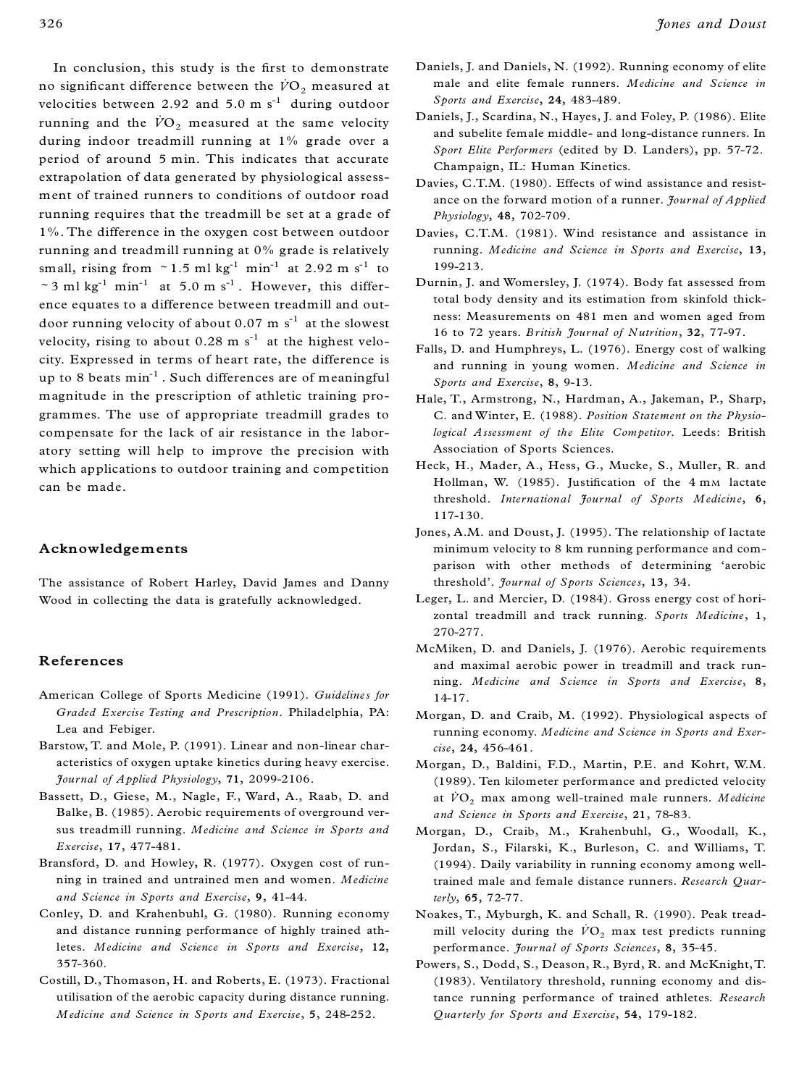In conclusion, this study is the first to demonstrate no significant difference between the  $\dot{V}O_2$  measured at velocities between 2.92 and 5.0  $\text{m s}^{-1}$  during outdoor running and the  $\dot{V}O_2$  measured at the same velocity during indoor treadmill running at 1% grade over a period of around 5 min. This indicates that accurate extrapolation of data generated by physiological assess ment of trained runners to conditions of outdoor road running requires that the treadmill be set at a grade of 1%. The difference in the oxygen cost between outdoor running and treadmill running at 0% grade is relatively small, rising from  $\sim 1.5$  ml kg<sup>-1</sup> min<sup>-1</sup> at 2.92 m s<sup>-1</sup> to  $\sim$  3 ml kg<sup>-1</sup> min<sup>-1</sup> at 5.0 m s<sup>-1</sup>. However, this difference equates to a difference between treadmill and out door running velocity of about  $0.07 \text{ m s}^{-1}$  at the slowest velocity, rising to about  $0.28 \text{ m s}^{-1}$  at the highest velocity. Expressed in terms of heart rate, the difference is up to 8 beats min-1 . Such differences are of meaningful magnitude in the prescription of athletic training pro grammes. The use of appropriate treadmill grades to compensate for the lack of air resistance in the labor atory setting will help to improve the precision with which applications to outdoor training and competition can be made.

## **Acknowledgements**

The assistance of Robert Harley, David James and Danny Wood in collecting the data is gratefully acknowledged.

#### **References**

- American College of Sports Medicine (1991). *Guidelines for Graded Exercise Testing and Prescription*. Philadelphia, PA: Lea and Febiger.
- Barstow, T. and Mole, P. (1991). Linear and non-linear char acteristics of oxygen uptake kinetics during heavy exercise. *Journal of Applied Physiology*, **71**, 2099-2106.
- Bassett, D., Giese, M., Nagle, F., Ward, A., Raab, D. and Balke, B. (1985). Aerobic requirements of overground versus treadmill running. *Medicine and Science in Sports and Exercise*, **17**, 477-481.
- Bransford, D. and Howley, R. (1977). Oxygen cost of run ning in trained and untrained men and women. *Medicine and Science in Sports and Exercise*, **9**, 41-44.
- Conley, D. and Krahenbuhl, G. (1980). Running economy and distance running performance of highly trained athletes. *Medicine and Science in Sports and Exercise*, **12**, 357-360.
- Costill, D., Thomason, H. and Roberts, E. (1973). Fractional utilisation of the aerobic capacity during distance running. *Medicine and Science in Sports and Exercise*, **5**, 248-252.
- Daniels, J. and Daniels, N. (1992). Running economy of elite male and elite female runners. *Medicine and Science in Sports and Exercise*, **24**, 483-489.
- Daniels, J., Scardina, N., Hayes, J. and Foley, P. (1986). Elite and subelite female middle- and long-distance runners. In *Sport Elite Performers* (edited by D. Landers), pp. 57-72. Champaign, IL: Human Kinetics.
- Davies, C.T.M. (1980). Effects of wind assistance and resist ance on the forward motion of a runner. *Journal of Applied Physiology*, **48**, 702-709.
- Davies, C.T.M. (1981). Wind resistance and assistance in running. *Medicine and Science in Sports and Exercise*, **13**, 199-213.
- Durnin, J. and Womersley, J. (1974). Body fat assessed from total body density and its estimation from skinfold thick ness: Measurements on 481 men and women aged from 16 to 72 years. *B ritish Journal of Nutrition*, **32**, 77-97.
- Falls, D. and Humphreys, L. (1976). Energy cost of walking and running in young women. *Medicine and Science in Sports and Exercise*, **8**, 9-13.
- Hale, T., Armstrong, N., Hardman, A., Jakeman, P., Sharp, C. and Winter, E. (1988). *Position Statement on the Physiological Assessment of the Elite Competitor*. Leeds: British Association of Sports Sciences.
- Heck, H., Mader, A., Hess, G., Mucke, S., Muller, R. and Hollman, W. (1985). Justification of the 4 mm lactate threshold. *International Journal of Sports Medicine*, **6**, 117-130.
- Jones, A.M. and Doust, J. (1995). The relationship of lactate minimum velocity to 8 km running performance and com parison with other methods of determining 'aerobic threshold'. *Journal of Sports Sciences*, **13**, 34.
- Leger, L. and Mercier, D. (1984). Gross energy cost of horizontal treadmill and track running. *Sports Medicine*, **1**, 270-277.
- McMiken, D. and Daniels, J. (1976). Aerobic requirements and maximal aerobic power in treadmill and track run ning. *Medicine and Science in Sports and Exercise*, **8**, 14-17.
- Morgan, D. and Craib, M. (1992). Physiological aspects of running economy. *Medicine and Science in Sports and Exercise*, **24**, 456-461.
- Morgan, D., Baldini, F.D., Martin, P.E. and Kohrt, W.M. (1989). Ten kilometer performance and predicted velocity at  $\dot{V}\text{O}_2$  max among well-trained male runners. *Medicine and Science in Sports and Exercise*, **21**, 78-83.
- Morgan, D., Craib, M., Krahenbuhl, G., Woodall, K., Jordan, S., Filarski, K., Burleson, C. and Williams, T. (1994). Daily variability in running economy among welltrained male and female distance runners. *Research Quarterly*, **65**, 72-77.
- Noakes, T., Myburgh, K. and Schall, R. (1990). Peak tread mill velocity during the  $\dot{V}O_2$  max test predicts running performance. *Jour nal of Sports Sciences*, **8**, 35-45.
- Powers, S., Dodd, S., Deason, R., Byrd, R. and McKnight, T. (1983). Ventilatory threshold, running economy and distance running performance of trained athletes. *Research Quarterly for Sports and Exercise*, **54**, 179-182.